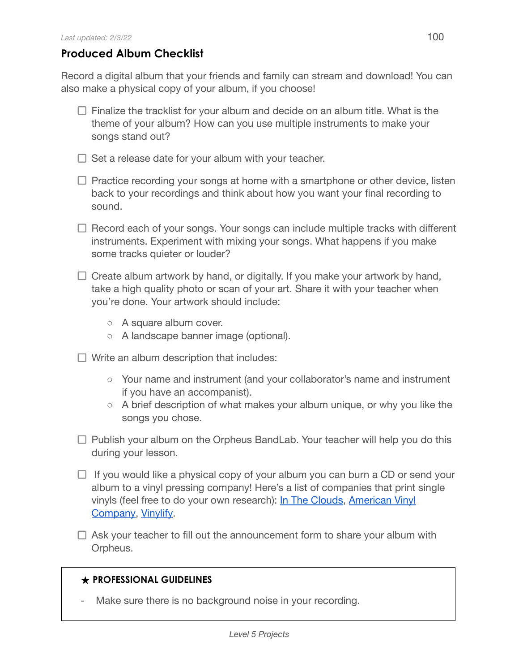## **Produced Album Checklist**

Record a digital album that your friends and family can stream and download! You can also make a physical copy of your album, if you choose!

- $\Box$  Finalize the tracklist for your album and decide on an album title. What is the theme of your album? How can you use multiple instruments to make your songs stand out?
- $\Box$  Set a release date for your album with your teacher.
- $\Box$  Practice recording your songs at home with a smartphone or other device, listen back to your recordings and think about how you want your final recording to sound.
- $\Box$  Record each of your songs. Your songs can include multiple tracks with different instruments. Experiment with mixing your songs. What happens if you make some tracks quieter or louder?
- $\Box$  Create album artwork by hand, or digitally. If you make your artwork by hand, take a high quality photo or scan of your art. Share it with your teacher when you're done. Your artwork should include:
	- A square album cover.
	- A landscape banner image (optional).
- $\Box$  Write an album description that includes:
	- Your name and instrument (and your collaborator's name and instrument if you have an accompanist).
	- A brief description of what makes your album unique, or why you like the songs you chose.
- $\Box$  Publish your album on the Orpheus BandLab. Your teacher will help you do this during your lesson.
- $\Box$  If you would like a physical copy of your album you can burn a CD or send your album to a vinyl pressing company! Here's a list of companies that print single vinyls (feel free to do your own research): In The [Clouds,](https://intheclouds.io/collections/make-your-own-custom-vinyl-records/products/7-lathe-cut-vinyl-designer) [American](https://americanvinylco.com/) Vinyl [Company](https://americanvinylco.com/), [Vinylify](https://vinylify.com/).
- $\Box$  Ask your teacher to fill out the announcement form to share your album with Orpheus.

## **★ PROFESSIONAL GUIDELINES**

Make sure there is no background noise in your recording.